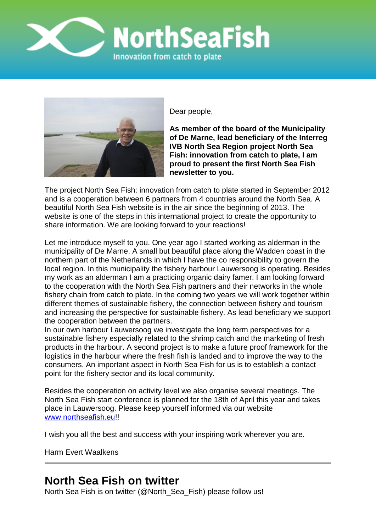



Dear people,

**As member of the board of the Municipality of De Marne, lead beneficiary of the Interreg IVB North Sea Region project North Sea Fish: innovation from catch to plate, I am proud to present the first North Sea Fish newsletter to you.**

The project North Sea Fish: innovation from catch to plate started in September 2012 and is a cooperation between 6 partners from 4 countries around the North Sea. A beautiful North Sea Fish website is in the air since the beginning of 2013. The website is one of the steps in this international project to create the opportunity to share information. We are looking forward to your reactions!

Let me introduce myself to you. One year ago I started working as alderman in the municipality of De Marne. A small but beautiful place along the Wadden coast in the northern part of the Netherlands in which I have the co responsibility to govern the local region. In this municipality the fishery harbour Lauwersoog is operating. Besides my work as an alderman I am a practicing organic dairy famer. I am looking forward to the cooperation with the North Sea Fish partners and their networks in the whole fishery chain from catch to plate. In the coming two years we will work together within different themes of sustainable fishery, the connection between fishery and tourism and increasing the perspective for sustainable fishery. As lead beneficiary we support the cooperation between the partners.

In our own harbour Lauwersoog we investigate the long term perspectives for a sustainable fishery especially related to the shrimp catch and the marketing of fresh products in the harbour. A second project is to make a future proof framework for the logistics in the harbour where the fresh fish is landed and to improve the way to the consumers. An important aspect in North Sea Fish for us is to establish a contact point for the fishery sector and its local community.

Besides the cooperation on activity level we also organise several meetings. The North Sea Fish start conference is planned for the 18th of April this year and takes place in Lauwersoog. Please keep yourself informed via our website [www.northseafish.eu!](http://www.northseafish.eu/)!

I wish you all the best and success with your inspiring work wherever you are.

Harm Evert Waalkens

## **North Sea Fish on twitter**

North Sea Fish is on twitter (@North\_Sea\_Fish) please [follow us!](https://twitter.com/intent/follow?original_referer=http%3A%2F%2Fwww.northseafish.eu%2F&screen_name=North_Sea_Fish&tw_p=followbutton&variant=2.0&xd_token=8187020c8e4b5)